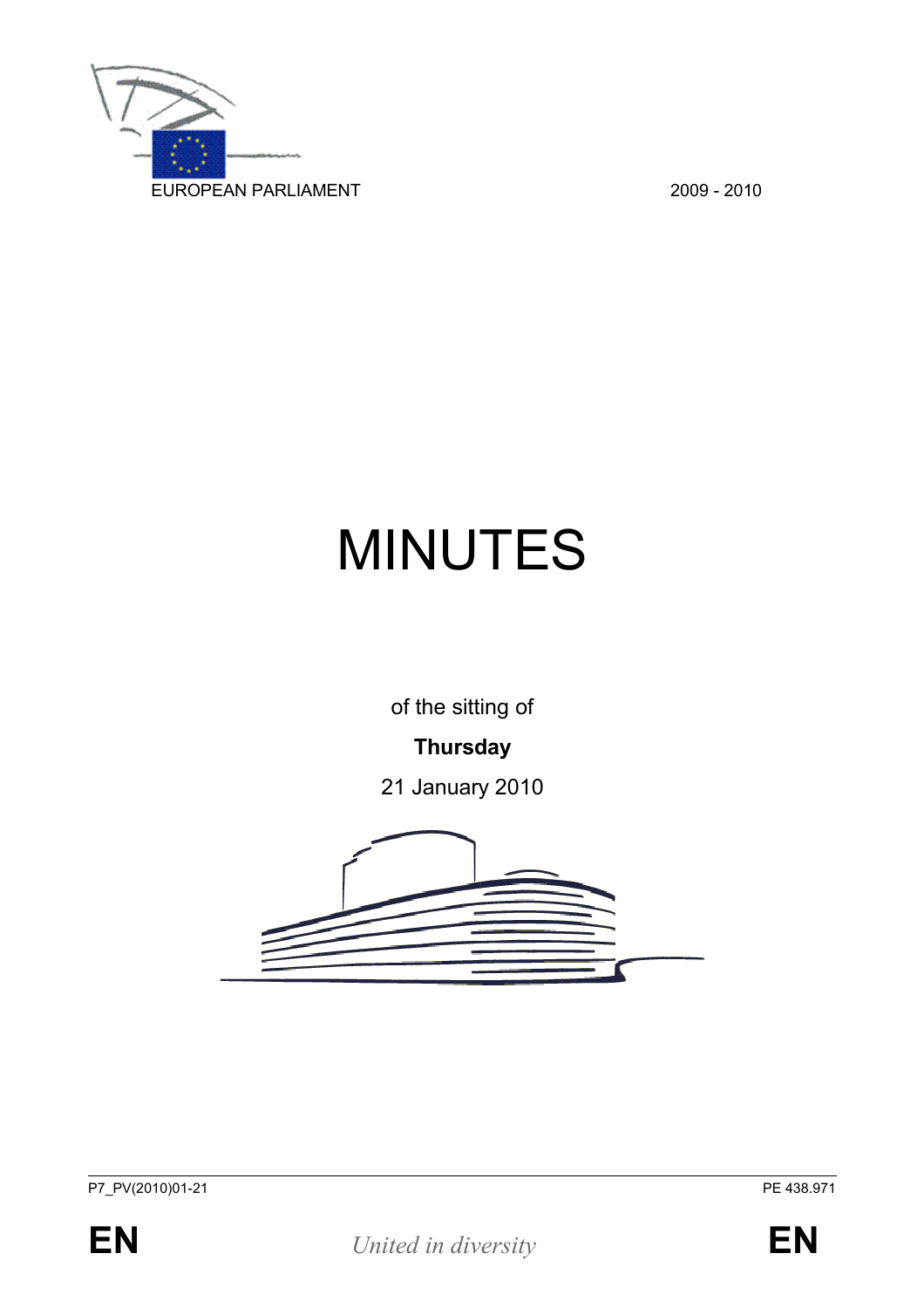

# MINUTES

of the sitting of

## **Thursday**

21 January 2010

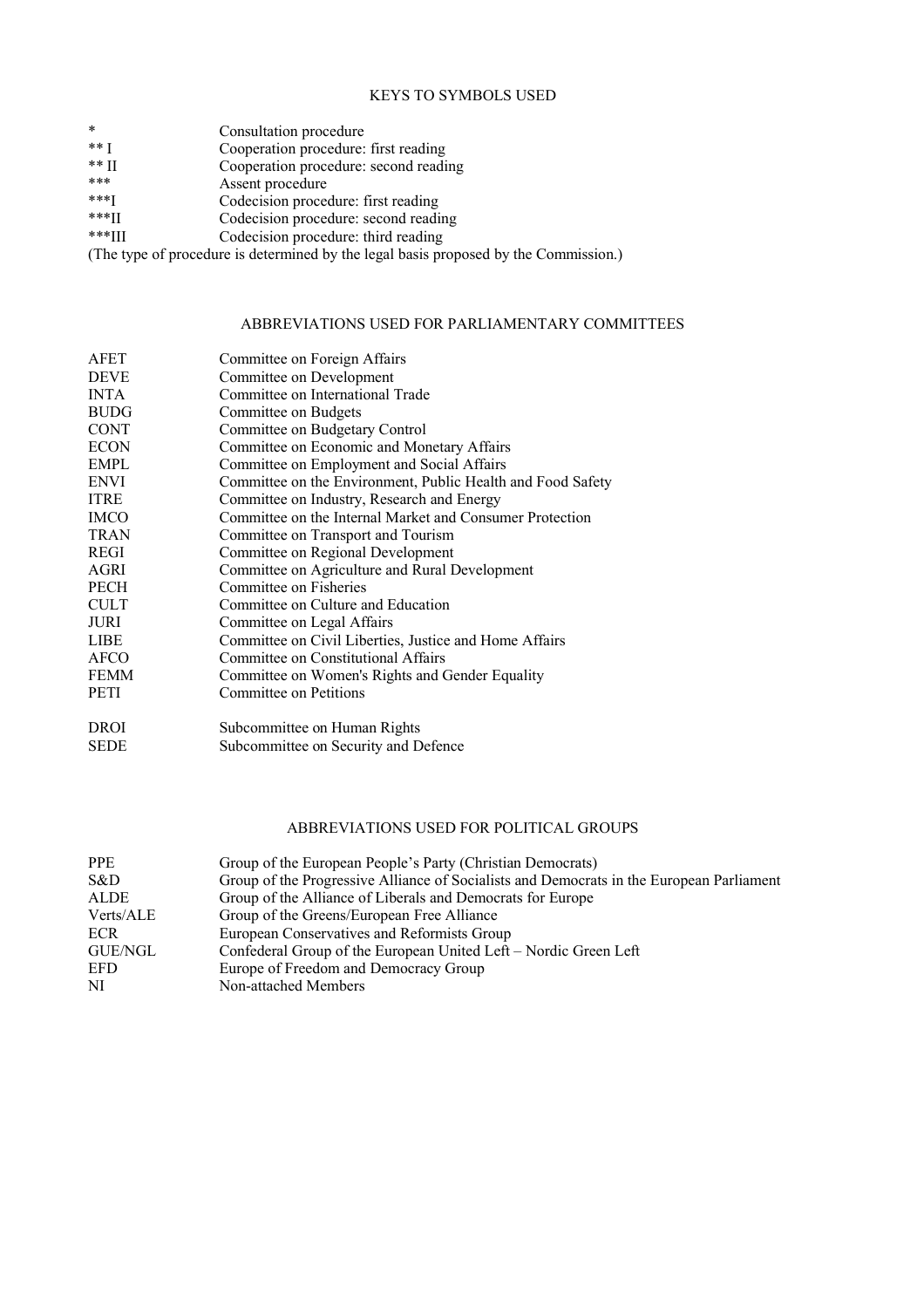#### KEYS TO SYMBOLS USED

| $\ast$              | Consultation procedure                |
|---------------------|---------------------------------------|
| $***$ T             | Cooperation procedure: first reading  |
| $***$ TI            | Cooperation procedure: second reading |
| ***                 | Assent procedure                      |
| $***$ <sup>T</sup>  | Codecision procedure: first reading   |
| $***$ <sup>II</sup> | Codecision procedure: second reading  |

\*\*\*III Codecision procedure: third reading

(The type of procedure is determined by the legal basis proposed by the Commission.)

#### ABBREVIATIONS USED FOR PARLIAMENTARY COMMITTEES

| AFET        | Committee on Foreign Affairs                                |
|-------------|-------------------------------------------------------------|
| <b>DEVE</b> | Committee on Development                                    |
| <b>INTA</b> | Committee on International Trade                            |
| <b>BUDG</b> | Committee on Budgets                                        |
| <b>CONT</b> | Committee on Budgetary Control                              |
| <b>ECON</b> | Committee on Economic and Monetary Affairs                  |
| <b>EMPL</b> | Committee on Employment and Social Affairs                  |
| <b>ENVI</b> | Committee on the Environment, Public Health and Food Safety |
| <b>ITRE</b> | Committee on Industry, Research and Energy                  |
| <b>IMCO</b> | Committee on the Internal Market and Consumer Protection    |
| <b>TRAN</b> | Committee on Transport and Tourism                          |
| REGI        | Committee on Regional Development                           |
| AGRI        | Committee on Agriculture and Rural Development              |
| <b>PECH</b> | Committee on Fisheries                                      |
| <b>CULT</b> | Committee on Culture and Education                          |
| <b>JURI</b> | Committee on Legal Affairs                                  |
| <b>LIBE</b> | Committee on Civil Liberties, Justice and Home Affairs      |
| <b>AFCO</b> | Committee on Constitutional Affairs                         |
| <b>FEMM</b> | Committee on Women's Rights and Gender Equality             |
| <b>PETI</b> | Committee on Petitions                                      |
| <b>DROI</b> | Subcommittee on Human Rights                                |

#### SEDE Subcommittee on Security and Defence

#### ABBREVIATIONS USED FOR POLITICAL GROUPS

| <b>PPE</b> | Group of the European People's Party (Christian Democrats)                               |
|------------|------------------------------------------------------------------------------------------|
| S&D        | Group of the Progressive Alliance of Socialists and Democrats in the European Parliament |
| ALDE       | Group of the Alliance of Liberals and Democrats for Europe                               |
| Verts/ALE  | Group of the Greens/European Free Alliance                                               |
| ECR        | European Conservatives and Reformists Group                                              |
| GUE/NGL    | Confederal Group of the European United Left – Nordic Green Left                         |
| EFD.       | Europe of Freedom and Democracy Group                                                    |
| NI         | Non-attached Members                                                                     |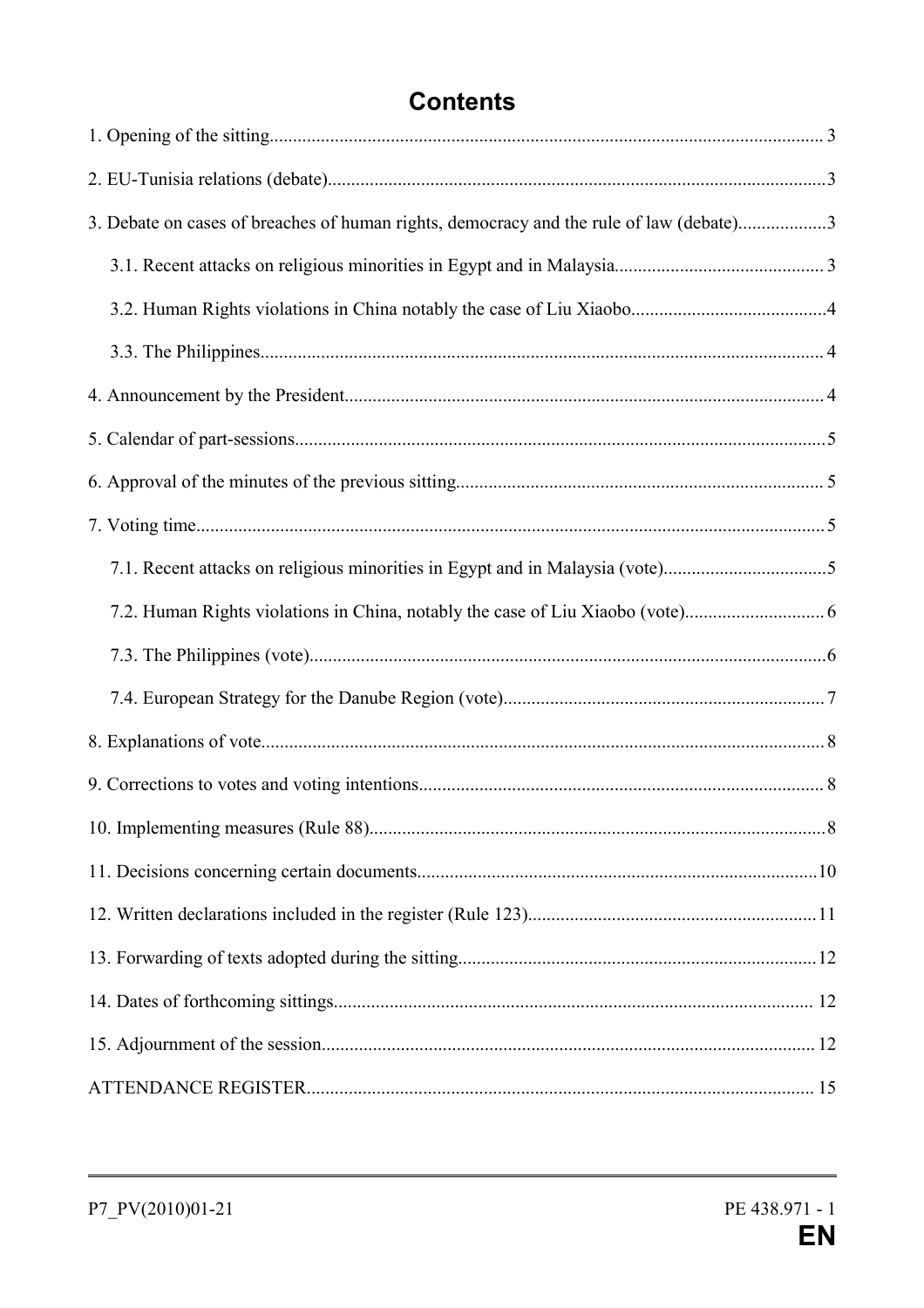## **Contents**

| 3. Debate on cases of breaches of human rights, democracy and the rule of law (debate)3 |  |
|-----------------------------------------------------------------------------------------|--|
|                                                                                         |  |
|                                                                                         |  |
|                                                                                         |  |
|                                                                                         |  |
|                                                                                         |  |
|                                                                                         |  |
|                                                                                         |  |
| 7.1. Recent attacks on religious minorities in Egypt and in Malaysia (vote)             |  |
|                                                                                         |  |
|                                                                                         |  |
|                                                                                         |  |
|                                                                                         |  |
|                                                                                         |  |
|                                                                                         |  |
|                                                                                         |  |
|                                                                                         |  |
|                                                                                         |  |
|                                                                                         |  |
|                                                                                         |  |
|                                                                                         |  |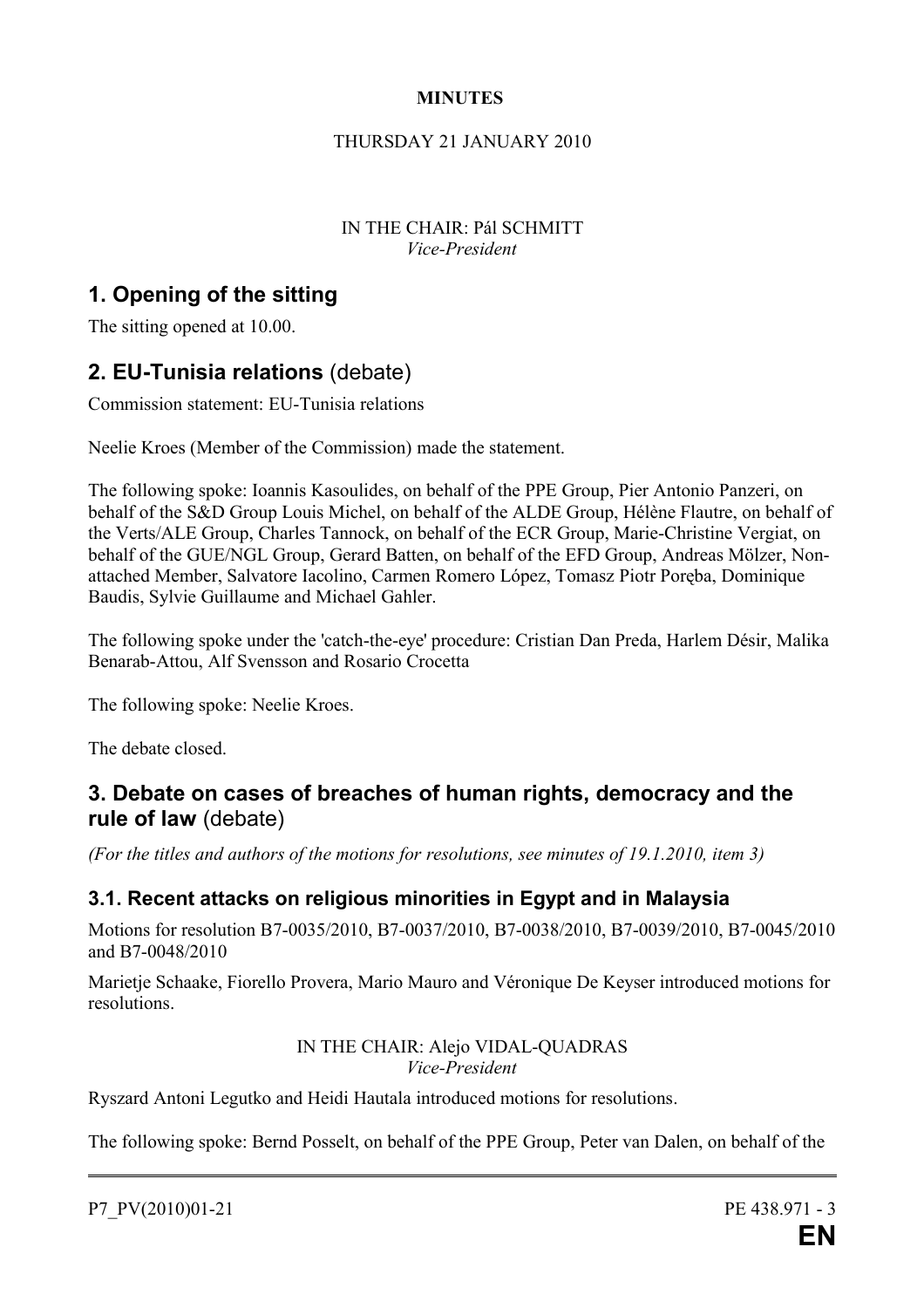#### **MINUTES**

#### THURSDAY 21 JANUARY 2010

#### IN THE CHAIR: Pál SCHMITT *Vice-President*

## **1. Opening of the sitting**

The sitting opened at 10.00.

## **2. EU-Tunisia relations** (debate)

Commission statement: EU-Tunisia relations

Neelie Kroes (Member of the Commission) made the statement.

The following spoke: Ioannis Kasoulides, on behalf of the PPE Group, Pier Antonio Panzeri, on behalf of the S&D Group Louis Michel, on behalf of the ALDE Group, Hélène Flautre, on behalf of the Verts/ALE Group, Charles Tannock, on behalf of the ECR Group, Marie-Christine Vergiat, on behalf of the GUE/NGL Group, Gerard Batten, on behalf of the EFD Group, Andreas Mölzer, Nonattached Member, Salvatore Iacolino, Carmen Romero López, Tomasz Piotr Poręba, Dominique Baudis, Sylvie Guillaume and Michael Gahler.

The following spoke under the 'catch-the-eye' procedure: Cristian Dan Preda, Harlem Désir, Malika Benarab-Attou, Alf Svensson and Rosario Crocetta

The following spoke: Neelie Kroes.

The debate closed.

## **3. Debate on cases of breaches of human rights, democracy and the rule of law** (debate)

*(For the titles and authors of the motions for resolutions, see minutes of 19.1.2010, item 3)*

## **3.1. Recent attacks on religious minorities in Egypt and in Malaysia**

Motions for resolution B7-0035/2010, B7-0037/2010, B7-0038/2010, B7-0039/2010, B7-0045/2010 and B7-0048/2010

Marietje Schaake, Fiorello Provera, Mario Mauro and Véronique De Keyser introduced motions for resolutions.

#### IN THE CHAIR: Alejo VIDAL-QUADRAS *Vice-President*

Ryszard Antoni Legutko and Heidi Hautala introduced motions for resolutions.

The following spoke: Bernd Posselt, on behalf of the PPE Group, Peter van Dalen, on behalf of the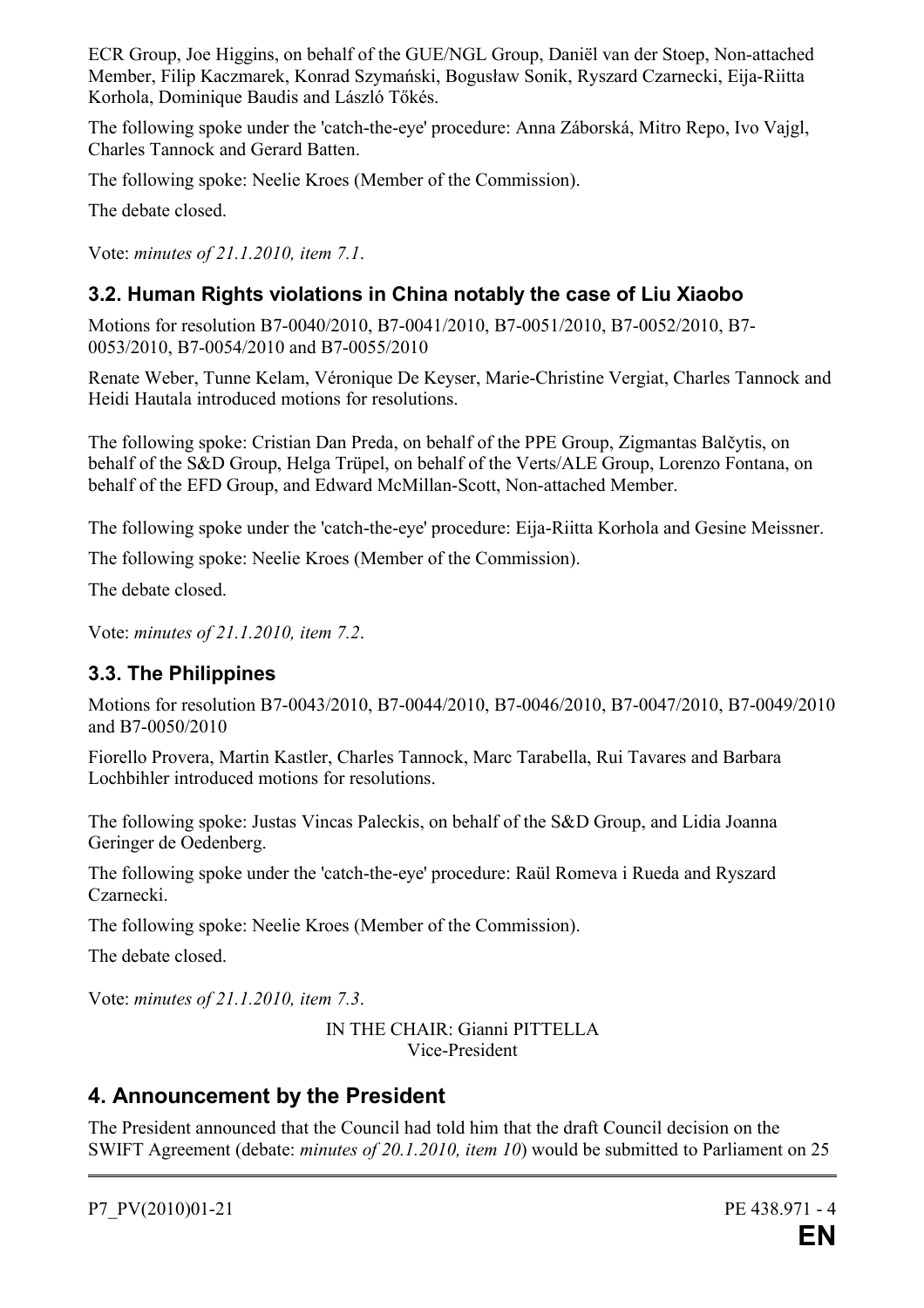ECR Group, Joe Higgins, on behalf of the GUE/NGL Group, Daniël van der Stoep, Non-attached Member, Filip Kaczmarek, Konrad Szymański, Bogusław Sonik, Ryszard Czarnecki, Eija-Riitta Korhola, Dominique Baudis and László Tőkés.

The following spoke under the 'catch-the-eye' procedure: Anna Záborská, Mitro Repo, Ivo Vajgl, Charles Tannock and Gerard Batten.

The following spoke: Neelie Kroes (Member of the Commission).

The debate closed.

Vote: *minutes of 21.1.2010, item 7.1*.

## **3.2. Human Rights violations in China notably the case of Liu Xiaobo**

Motions for resolution B7-0040/2010, B7-0041/2010, B7-0051/2010, B7-0052/2010, B7- 0053/2010, B7-0054/2010 and B7-0055/2010

Renate Weber, Tunne Kelam, Véronique De Keyser, Marie-Christine Vergiat, Charles Tannock and Heidi Hautala introduced motions for resolutions.

The following spoke: Cristian Dan Preda, on behalf of the PPE Group, Zigmantas Balčytis, on behalf of the S&D Group, Helga Trüpel, on behalf of the Verts/ALE Group, Lorenzo Fontana, on behalf of the EFD Group, and Edward McMillan-Scott, Non-attached Member.

The following spoke under the 'catch-the-eye' procedure: Eija-Riitta Korhola and Gesine Meissner.

The following spoke: Neelie Kroes (Member of the Commission).

The debate closed.

Vote: *minutes of 21.1.2010, item 7.2*.

#### **3.3. The Philippines**

Motions for resolution B7-0043/2010, B7-0044/2010, B7-0046/2010, B7-0047/2010, B7-0049/2010 and B7-0050/2010

Fiorello Provera, Martin Kastler, Charles Tannock, Marc Tarabella, Rui Tavares and Barbara Lochbihler introduced motions for resolutions.

The following spoke: Justas Vincas Paleckis, on behalf of the S&D Group, and Lidia Joanna Geringer de Oedenberg.

The following spoke under the 'catch-the-eye' procedure: Raül Romeva i Rueda and Ryszard Czarnecki.

The following spoke: Neelie Kroes (Member of the Commission).

The debate closed.

Vote: *minutes of 21.1.2010, item 7.3*.

IN THE CHAIR: Gianni PITTELLA Vice-President

## **4. Announcement by the President**

The President announced that the Council had told him that the draft Council decision on the SWIFT Agreement (debate: *minutes of 20.1.2010, item 10*) would be submitted to Parliament on 25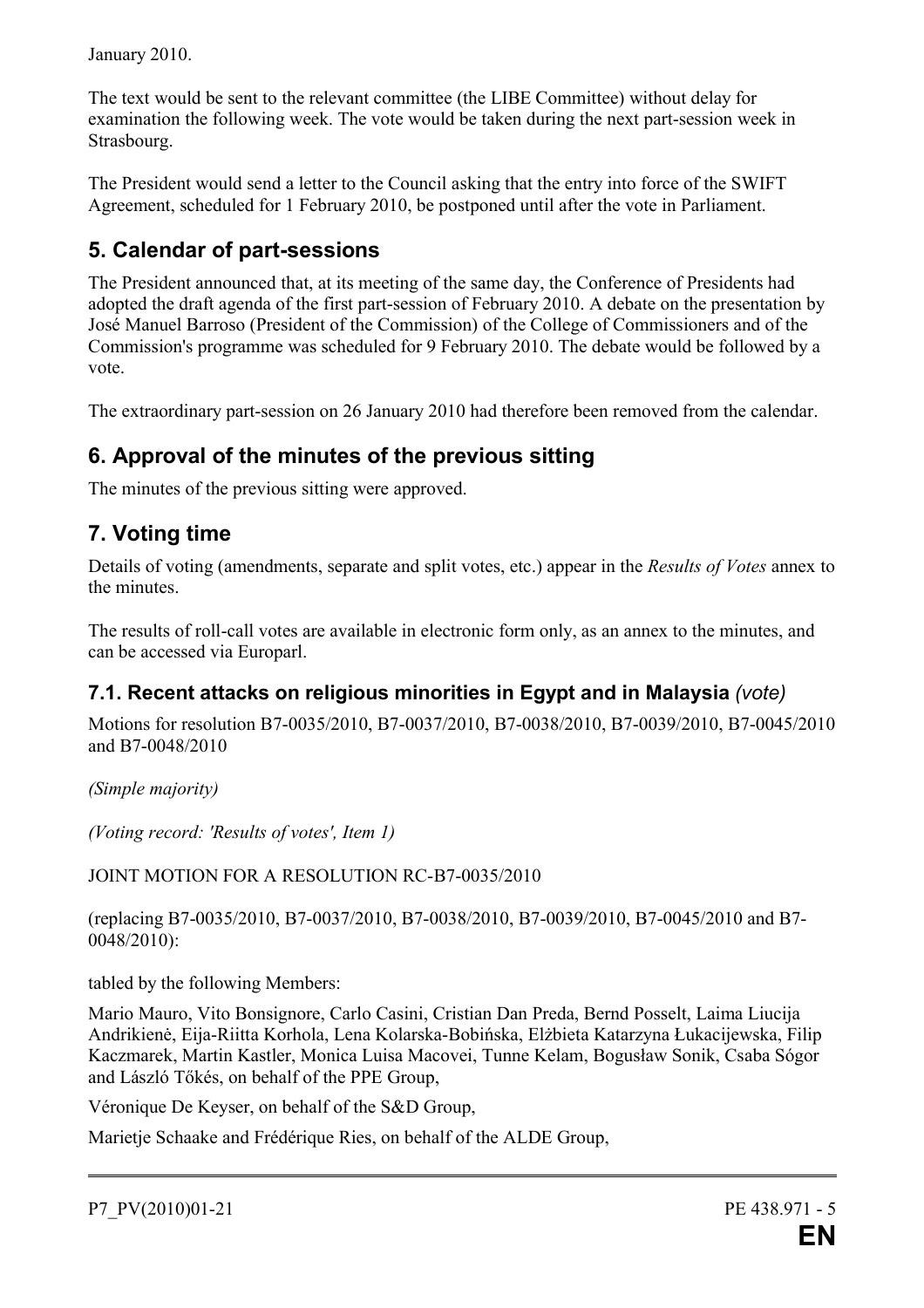January 2010.

The text would be sent to the relevant committee (the LIBE Committee) without delay for examination the following week. The vote would be taken during the next part-session week in Strasbourg.

The President would send a letter to the Council asking that the entry into force of the SWIFT Agreement, scheduled for 1 February 2010, be postponed until after the vote in Parliament.

## **5. Calendar of part-sessions**

The President announced that, at its meeting of the same day, the Conference of Presidents had adopted the draft agenda of the first part-session of February 2010. A debate on the presentation by José Manuel Barroso (President of the Commission) of the College of Commissioners and of the Commission's programme was scheduled for 9 February 2010. The debate would be followed by a vote.

The extraordinary part-session on 26 January 2010 had therefore been removed from the calendar.

## **6. Approval of the minutes of the previous sitting**

The minutes of the previous sitting were approved.

## **7. Voting time**

Details of voting (amendments, separate and split votes, etc.) appear in the *Results of Votes* annex to the minutes.

The results of roll-call votes are available in electronic form only, as an annex to the minutes, and can be accessed via Europarl.

## **7.1. Recent attacks on religious minorities in Egypt and in Malaysia** *(vote)*

Motions for resolution B7-0035/2010, B7-0037/2010, B7-0038/2010, B7-0039/2010, B7-0045/2010 and B7-0048/2010

*(Simple majority)*

*(Voting record: 'Results of votes', Item 1)*

JOINT MOTION FOR A RESOLUTION RC-B7-0035/2010

(replacing B7-0035/2010, B7-0037/2010, B7-0038/2010, B7-0039/2010, B7-0045/2010 and B7- 0048/2010):

tabled by the following Members:

Mario Mauro, Vito Bonsignore, Carlo Casini, Cristian Dan Preda, Bernd Posselt, Laima Liucija Andrikienė, Eija-Riitta Korhola, Lena Kolarska-Bobińska, Elżbieta Katarzyna Łukacijewska, Filip Kaczmarek, Martin Kastler, Monica Luisa Macovei, Tunne Kelam, Bogusław Sonik, Csaba Sógor and László Tőkés, on behalf of the PPE Group,

Véronique De Keyser, on behalf of the S&D Group,

Marietje Schaake and Frédérique Ries, on behalf of the ALDE Group,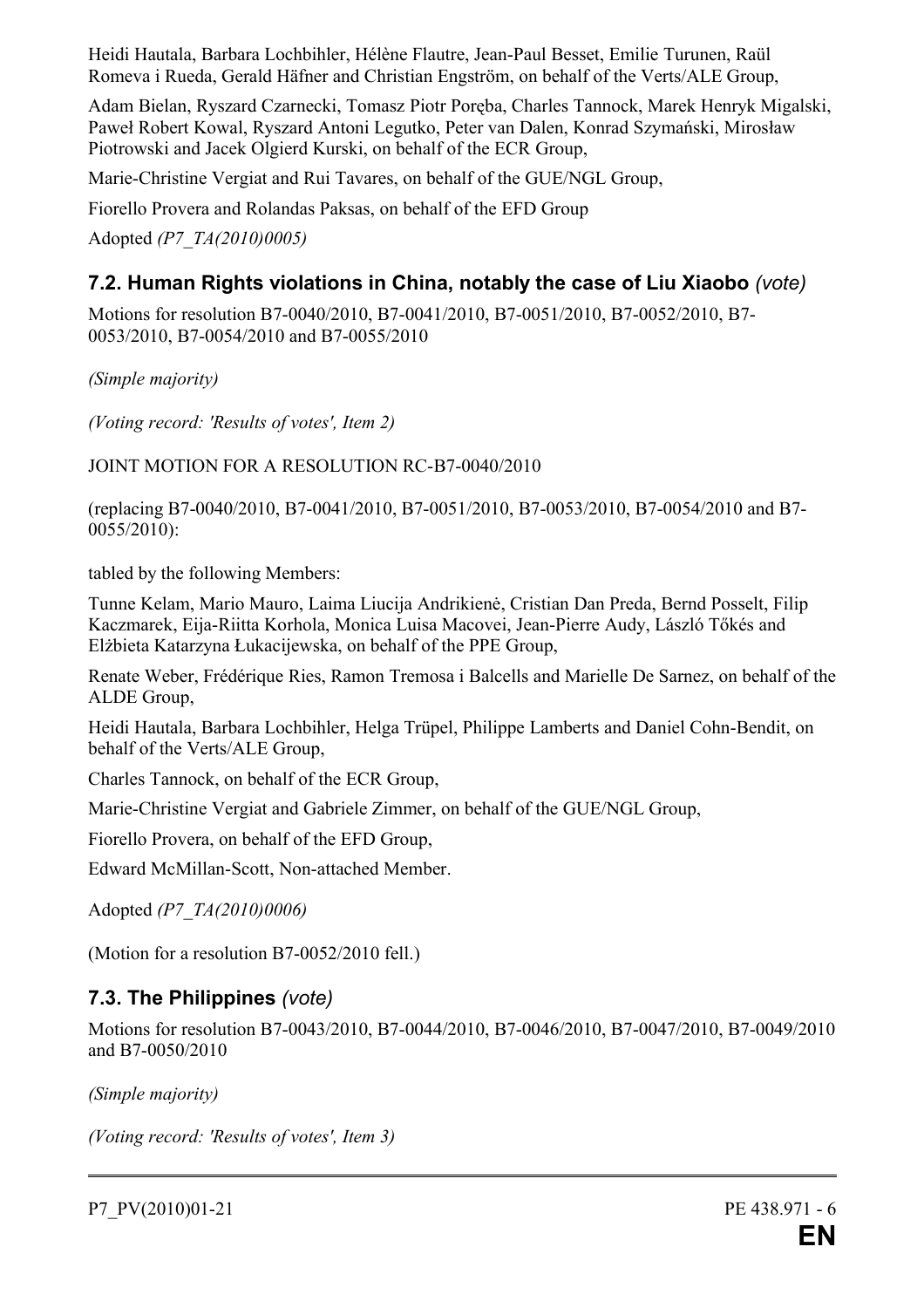Heidi Hautala, Barbara Lochbihler, Hélène Flautre, Jean-Paul Besset, Emilie Turunen, Raül Romeva i Rueda, Gerald Häfner and Christian Engström, on behalf of the Verts/ALE Group,

Adam Bielan, Ryszard Czarnecki, Tomasz Piotr Poręba, Charles Tannock, Marek Henryk Migalski, Paweł Robert Kowal, Ryszard Antoni Legutko, Peter van Dalen, Konrad Szymański, Mirosław Piotrowski and Jacek Olgierd Kurski, on behalf of the ECR Group,

Marie-Christine Vergiat and Rui Tavares, on behalf of the GUE/NGL Group,

Fiorello Provera and Rolandas Paksas, on behalf of the EFD Group

Adopted *(P7\_TA(2010)0005)*

## **7.2. Human Rights violations in China, notably the case of Liu Xiaobo** *(vote)*

Motions for resolution B7-0040/2010, B7-0041/2010, B7-0051/2010, B7-0052/2010, B7- 0053/2010, B7-0054/2010 and B7-0055/2010

*(Simple majority)*

*(Voting record: 'Results of votes', Item 2)*

JOINT MOTION FOR A RESOLUTION RC-B7-0040/2010

(replacing B7-0040/2010, B7-0041/2010, B7-0051/2010, B7-0053/2010, B7-0054/2010 and B7- 0055/2010):

tabled by the following Members:

Tunne Kelam, Mario Mauro, Laima Liucija Andrikienė, Cristian Dan Preda, Bernd Posselt, Filip Kaczmarek, Eija-Riitta Korhola, Monica Luisa Macovei, Jean-Pierre Audy, László Tőkés and Elżbieta Katarzyna Łukacijewska, on behalf of the PPE Group,

Renate Weber, Frédérique Ries, Ramon Tremosa i Balcells and Marielle De Sarnez, on behalf of the ALDE Group,

Heidi Hautala, Barbara Lochbihler, Helga Trüpel, Philippe Lamberts and Daniel Cohn-Bendit, on behalf of the Verts/ALE Group,

Charles Tannock, on behalf of the ECR Group,

Marie-Christine Vergiat and Gabriele Zimmer, on behalf of the GUE/NGL Group,

Fiorello Provera, on behalf of the EFD Group,

Edward McMillan-Scott, Non-attached Member.

Adopted *(P7\_TA(2010)0006)*

(Motion for a resolution B7-0052/2010 fell.)

## **7.3. The Philippines** *(vote)*

Motions for resolution B7-0043/2010, B7-0044/2010, B7-0046/2010, B7-0047/2010, B7-0049/2010 and B7-0050/2010

*(Simple majority)*

*(Voting record: 'Results of votes', Item 3)*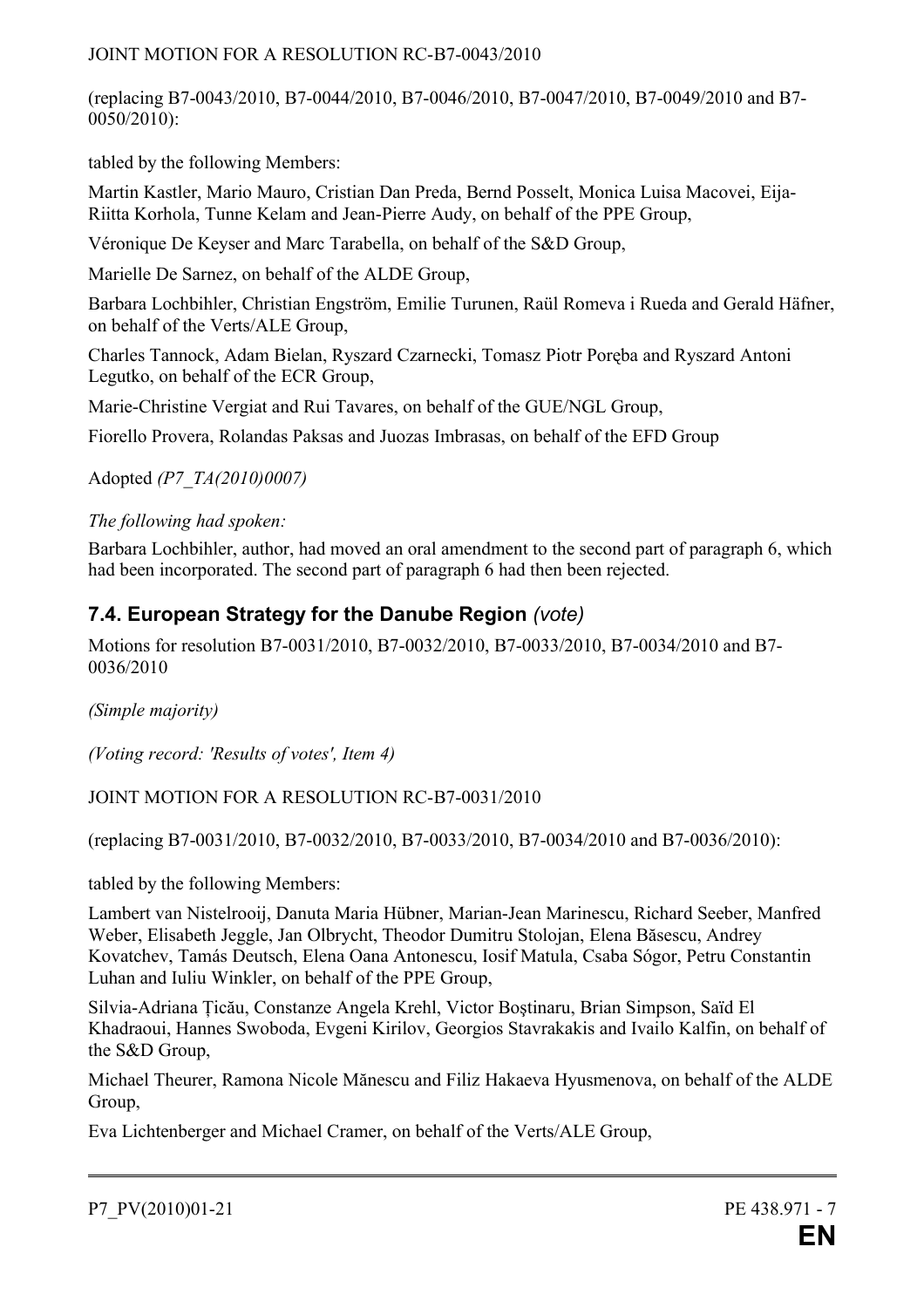#### JOINT MOTION FOR A RESOLUTION RC-B7-0043/2010

(replacing B7-0043/2010, B7-0044/2010, B7-0046/2010, B7-0047/2010, B7-0049/2010 and B7- 0050/2010):

tabled by the following Members:

Martin Kastler, Mario Mauro, Cristian Dan Preda, Bernd Posselt, Monica Luisa Macovei, Eija-Riitta Korhola, Tunne Kelam and Jean-Pierre Audy, on behalf of the PPE Group,

Véronique De Keyser and Marc Tarabella, on behalf of the S&D Group,

Marielle De Sarnez, on behalf of the ALDE Group,

Barbara Lochbihler, Christian Engström, Emilie Turunen, Raül Romeva i Rueda and Gerald Häfner, on behalf of the Verts/ALE Group,

Charles Tannock, Adam Bielan, Ryszard Czarnecki, Tomasz Piotr Poręba and Ryszard Antoni Legutko, on behalf of the ECR Group,

Marie-Christine Vergiat and Rui Tavares, on behalf of the GUE/NGL Group,

Fiorello Provera, Rolandas Paksas and Juozas Imbrasas, on behalf of the EFD Group

Adopted *(P7\_TA(2010)0007)*

*The following had spoken:*

Barbara Lochbihler, author, had moved an oral amendment to the second part of paragraph 6, which had been incorporated. The second part of paragraph 6 had then been rejected.

## **7.4. European Strategy for the Danube Region** *(vote)*

Motions for resolution B7-0031/2010, B7-0032/2010, B7-0033/2010, B7-0034/2010 and B7- 0036/2010

*(Simple majority)*

*(Voting record: 'Results of votes', Item 4)*

JOINT MOTION FOR A RESOLUTION RC-B7-0031/2010

(replacing B7-0031/2010, B7-0032/2010, B7-0033/2010, B7-0034/2010 and B7-0036/2010):

tabled by the following Members:

Lambert van Nistelrooij, Danuta Maria Hübner, Marian-Jean Marinescu, Richard Seeber, Manfred Weber, Elisabeth Jeggle, Jan Olbrycht, Theodor Dumitru Stolojan, Elena Băsescu, Andrey Kovatchev, Tamás Deutsch, Elena Oana Antonescu, Iosif Matula, Csaba Sógor, Petru Constantin Luhan and Iuliu Winkler, on behalf of the PPE Group,

Silvia-Adriana Ţicău, Constanze Angela Krehl, Victor Boştinaru, Brian Simpson, Saïd El Khadraoui, Hannes Swoboda, Evgeni Kirilov, Georgios Stavrakakis and Ivailo Kalfin, on behalf of the S&D Group,

Michael Theurer, Ramona Nicole Mănescu and Filiz Hakaeva Hyusmenova, on behalf of the ALDE Group,

Eva Lichtenberger and Michael Cramer, on behalf of the Verts/ALE Group,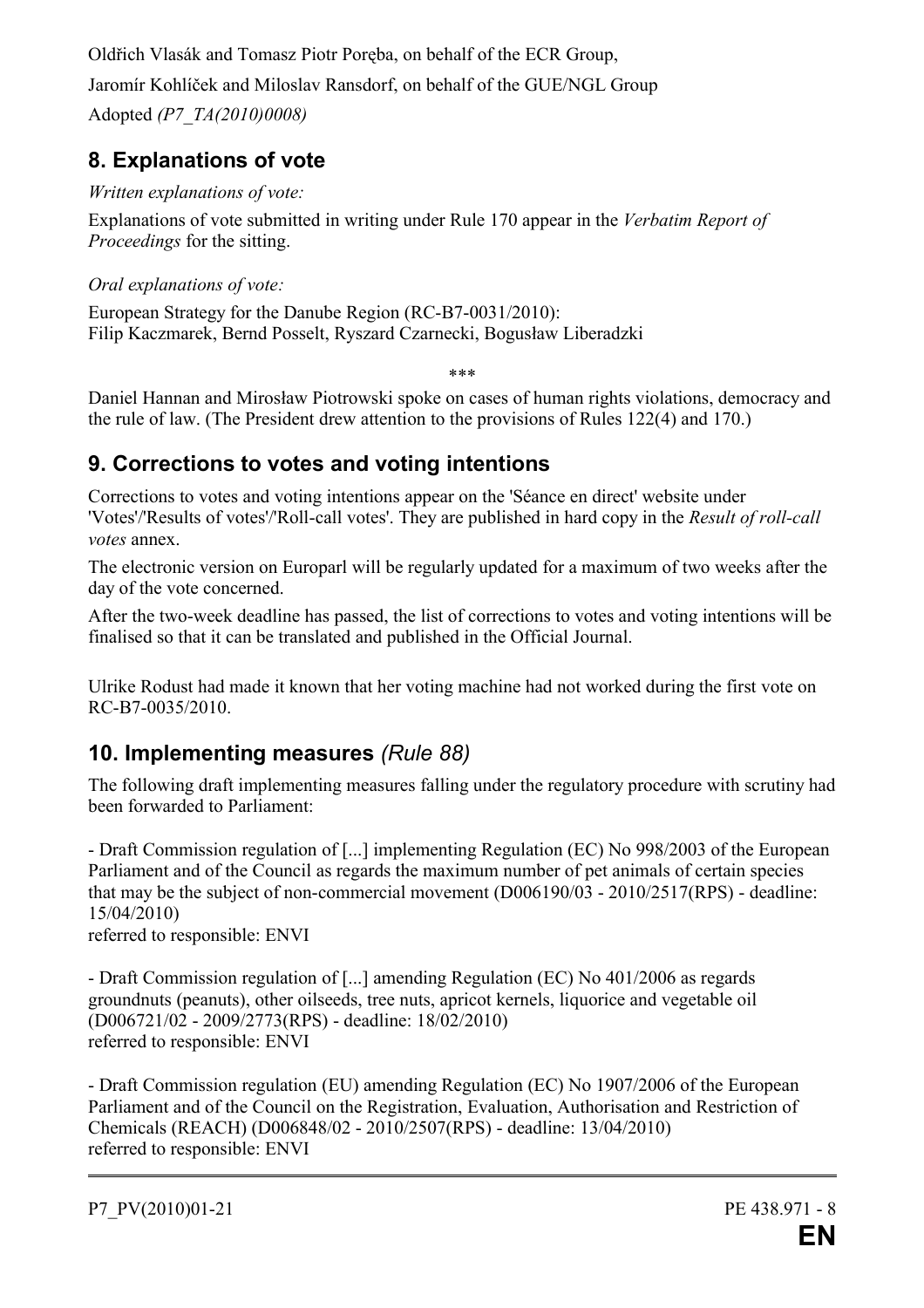Oldřich Vlasák and Tomasz Piotr Poręba, on behalf of the ECR Group, Jaromír Kohlíček and Miloslav Ransdorf, on behalf of the GUE/NGL Group Adopted *(P7\_TA(2010)0008)*

## **8. Explanations of vote**

### *Written explanations of vote:*

Explanations of vote submitted in writing under Rule 170 appear in the *Verbatim Report of Proceedings* for the sitting.

## *Oral explanations of vote:*

European Strategy for the Danube Region (RC-B7-0031/2010): Filip Kaczmarek, Bernd Posselt, Ryszard Czarnecki, Bogusław Liberadzki

\*\*\*

Daniel Hannan and Mirosław Piotrowski spoke on cases of human rights violations, democracy and the rule of law. (The President drew attention to the provisions of Rules 122(4) and 170.)

## **9. Corrections to votes and voting intentions**

Corrections to votes and voting intentions appear on the 'Séance en direct' website under 'Votes'/'Results of votes'/'Roll-call votes'. They are published in hard copy in the *Result of roll-call votes* annex.

The electronic version on Europarl will be regularly updated for a maximum of two weeks after the day of the vote concerned.

After the two-week deadline has passed, the list of corrections to votes and voting intentions will be finalised so that it can be translated and published in the Official Journal.

Ulrike Rodust had made it known that her voting machine had not worked during the first vote on RC-B7-0035/2010.

## **10. Implementing measures** *(Rule 88)*

The following draft implementing measures falling under the regulatory procedure with scrutiny had been forwarded to Parliament:

- Draft Commission regulation of [...] implementing Regulation (EC) No 998/2003 of the European Parliament and of the Council as regards the maximum number of pet animals of certain species that may be the subject of non-commercial movement (D006190/03 - 2010/2517(RPS) - deadline: 15/04/2010)

referred to responsible: ENVI

- Draft Commission regulation of [...] amending Regulation (EC) No 401/2006 as regards groundnuts (peanuts), other oilseeds, tree nuts, apricot kernels, liquorice and vegetable oil (D006721/02 - 2009/2773(RPS) - deadline: 18/02/2010) referred to responsible: ENVI

- Draft Commission regulation (EU) amending Regulation (EC) No 1907/2006 of the European Parliament and of the Council on the Registration, Evaluation, Authorisation and Restriction of Chemicals (REACH) (D006848/02 - 2010/2507(RPS) - deadline: 13/04/2010) referred to responsible: ENVI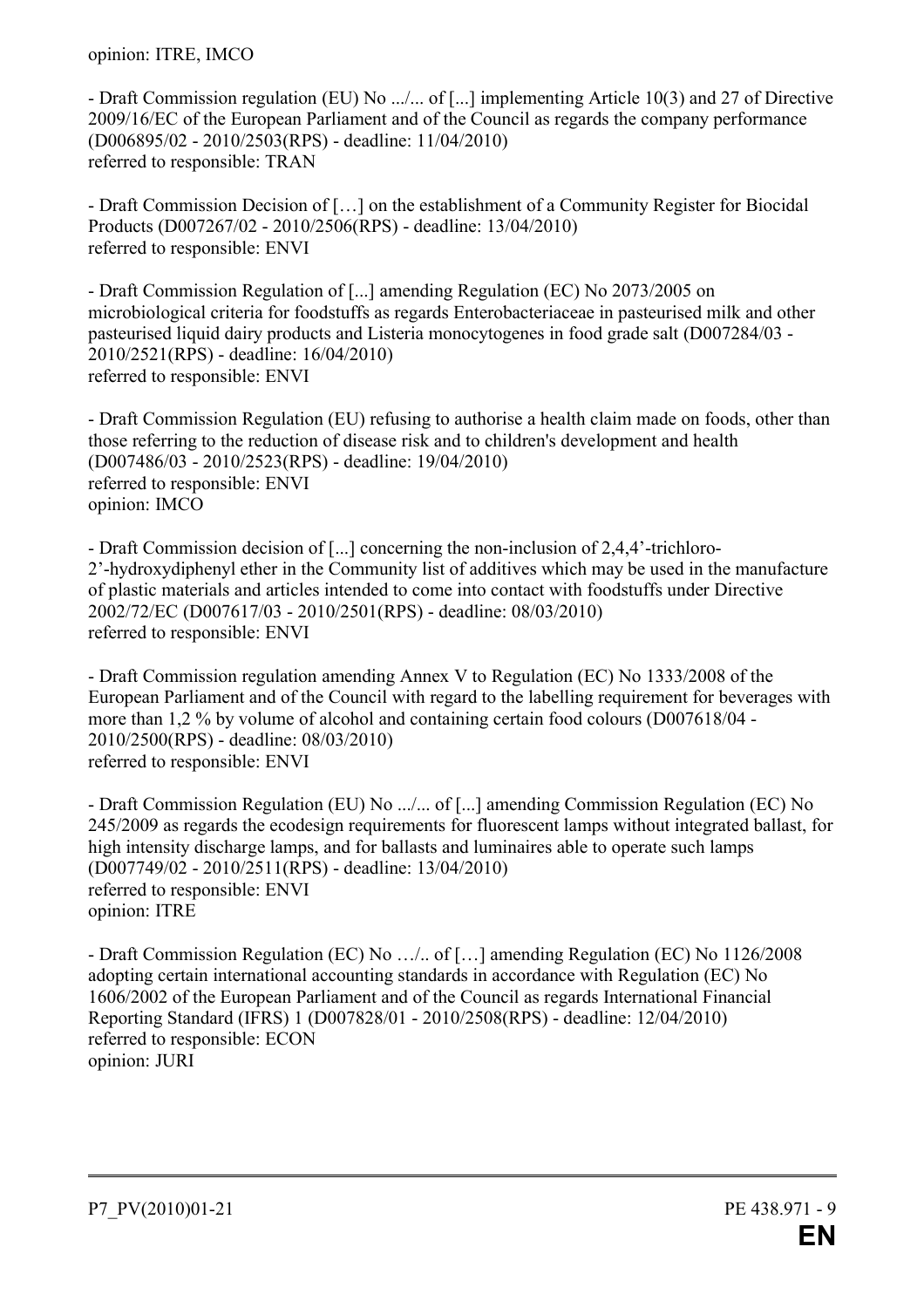opinion: ITRE, IMCO

- Draft Commission regulation (EU) No .../... of [...] implementing Article 10(3) and 27 of Directive 2009/16/EC of the European Parliament and of the Council as regards the company performance (D006895/02 - 2010/2503(RPS) - deadline: 11/04/2010) referred to responsible: TRAN

- Draft Commission Decision of […] on the establishment of a Community Register for Biocidal Products (D007267/02 - 2010/2506(RPS) - deadline: 13/04/2010) referred to responsible: ENVI

- Draft Commission Regulation of [...] amending Regulation (EC) No 2073/2005 on microbiological criteria for foodstuffs as regards Enterobacteriaceae in pasteurised milk and other pasteurised liquid dairy products and Listeria monocytogenes in food grade salt (D007284/03 - 2010/2521(RPS) - deadline: 16/04/2010) referred to responsible: ENVI

- Draft Commission Regulation (EU) refusing to authorise a health claim made on foods, other than those referring to the reduction of disease risk and to children's development and health (D007486/03 - 2010/2523(RPS) - deadline: 19/04/2010) referred to responsible: ENVI opinion: IMCO

- Draft Commission decision of [...] concerning the non-inclusion of 2,4,4'-trichloro-2'-hydroxydiphenyl ether in the Community list of additives which may be used in the manufacture of plastic materials and articles intended to come into contact with foodstuffs under Directive 2002/72/EC (D007617/03 - 2010/2501(RPS) - deadline: 08/03/2010) referred to responsible: ENVI

- Draft Commission regulation amending Annex V to Regulation (EC) No 1333/2008 of the European Parliament and of the Council with regard to the labelling requirement for beverages with more than 1,2 % by volume of alcohol and containing certain food colours (D007618/04 - 2010/2500(RPS) - deadline: 08/03/2010) referred to responsible: ENVI

- Draft Commission Regulation (EU) No .../... of [...] amending Commission Regulation (EC) No 245/2009 as regards the ecodesign requirements for fluorescent lamps without integrated ballast, for high intensity discharge lamps, and for ballasts and luminaires able to operate such lamps (D007749/02 - 2010/2511(RPS) - deadline: 13/04/2010) referred to responsible: ENVI opinion: ITRE

- Draft Commission Regulation (EC) No …/.. of […] amending Regulation (EC) No 1126/2008 adopting certain international accounting standards in accordance with Regulation (EC) No 1606/2002 of the European Parliament and of the Council as regards International Financial Reporting Standard (IFRS) 1 (D007828/01 - 2010/2508(RPS) - deadline: 12/04/2010) referred to responsible: ECON opinion: JURI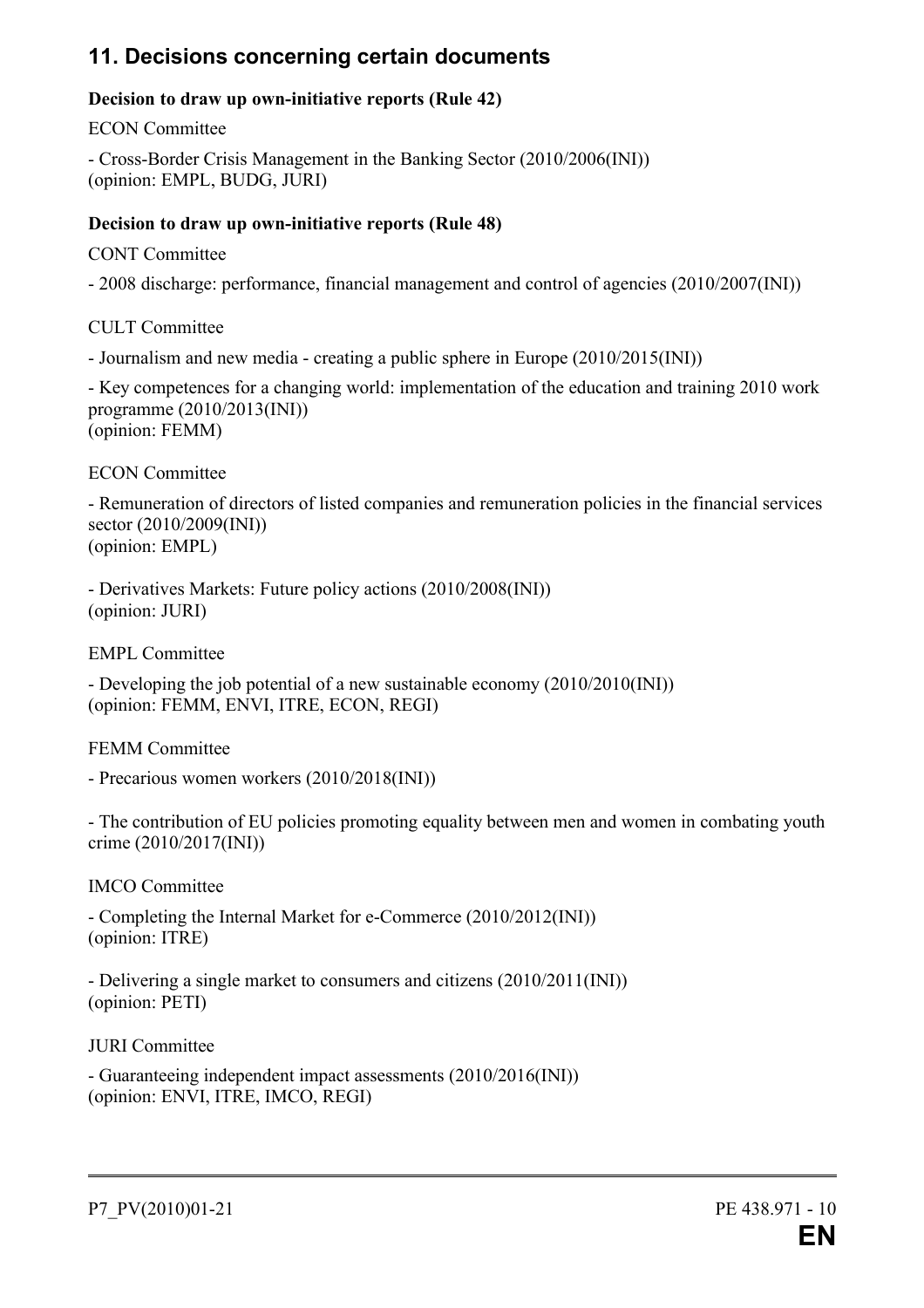## **11. Decisions concerning certain documents**

#### **Decision to draw up own-initiative reports (Rule 42)**

ECON Committee

- Cross-Border Crisis Management in the Banking Sector (2010/2006(INI)) (opinion: EMPL, BUDG, JURI)

#### **Decision to draw up own-initiative reports (Rule 48)**

CONT Committee

- 2008 discharge: performance, financial management and control of agencies (2010/2007(INI))

CULT Committee

- Journalism and new media - creating a public sphere in Europe (2010/2015(INI))

- Key competences for a changing world: implementation of the education and training 2010 work programme (2010/2013(INI)) (opinion: FEMM)

ECON Committee

- Remuneration of directors of listed companies and remuneration policies in the financial services sector (2010/2009(INI)) (opinion: EMPL)

- Derivatives Markets: Future policy actions (2010/2008(INI)) (opinion: JURI)

EMPL Committee

- Developing the job potential of a new sustainable economy (2010/2010(INI)) (opinion: FEMM, ENVI, ITRE, ECON, REGI)

FEMM Committee

- Precarious women workers (2010/2018(INI))

- The contribution of EU policies promoting equality between men and women in combating youth crime (2010/2017(INI))

IMCO Committee

- Completing the Internal Market for e-Commerce (2010/2012(INI)) (opinion: ITRE)

- Delivering a single market to consumers and citizens (2010/2011(INI)) (opinion: PETI)

JURI Committee

- Guaranteeing independent impact assessments (2010/2016(INI)) (opinion: ENVI, ITRE, IMCO, REGI)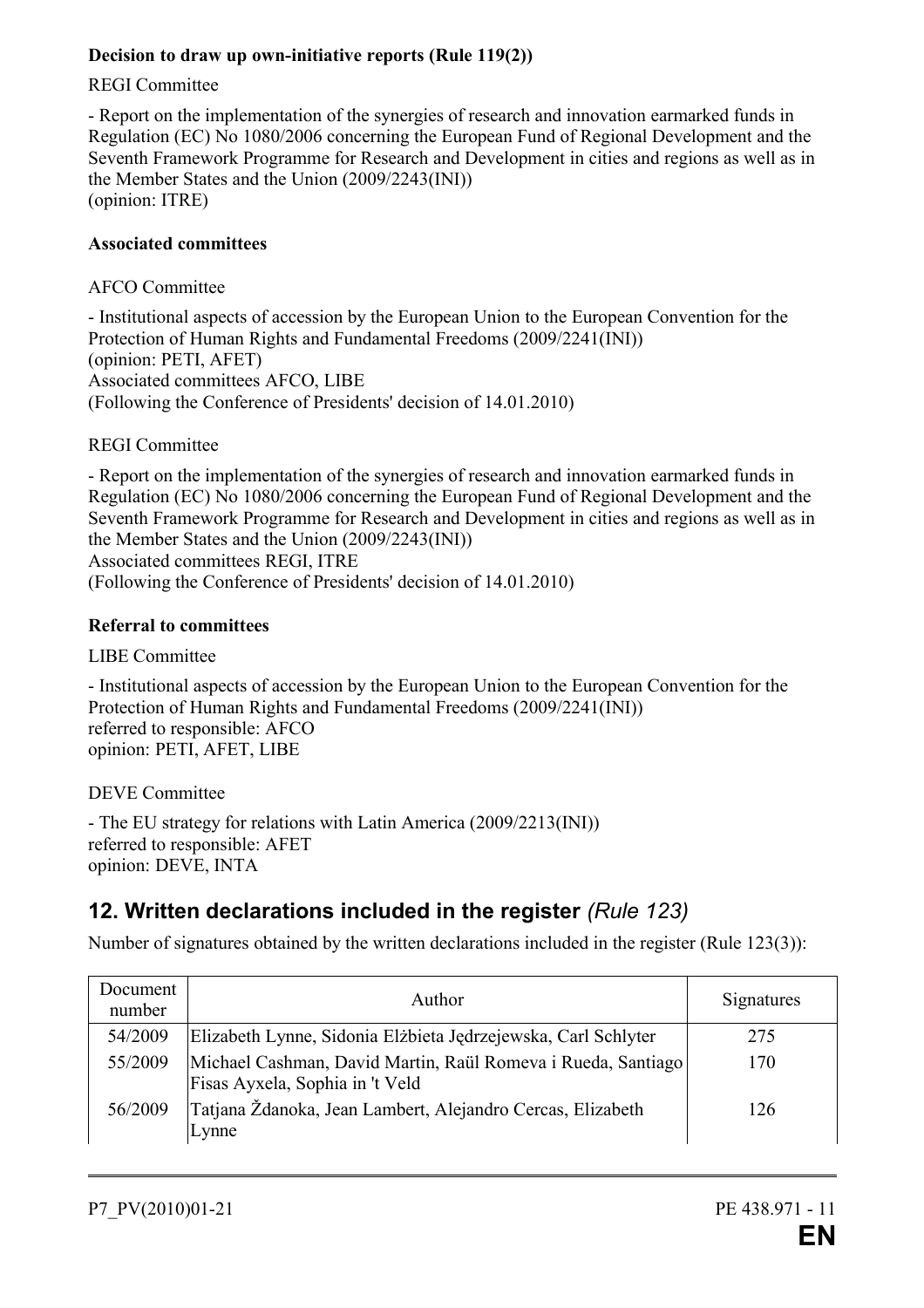#### **Decision to draw up own-initiative reports (Rule 119(2))**

#### REGI Committee

- Report on the implementation of the synergies of research and innovation earmarked funds in Regulation (EC) No 1080/2006 concerning the European Fund of Regional Development and the Seventh Framework Programme for Research and Development in cities and regions as well as in the Member States and the Union (2009/2243(INI)) (opinion: ITRE)

#### **Associated committees**

#### AFCO Committee

- Institutional aspects of accession by the European Union to the European Convention for the Protection of Human Rights and Fundamental Freedoms (2009/2241(INI)) (opinion: PETI, AFET) Associated committees AFCO, LIBE (Following the Conference of Presidents' decision of 14.01.2010)

#### REGI Committee

- Report on the implementation of the synergies of research and innovation earmarked funds in Regulation (EC) No 1080/2006 concerning the European Fund of Regional Development and the Seventh Framework Programme for Research and Development in cities and regions as well as in the Member States and the Union (2009/2243(INI)) Associated committees REGI, ITRE

(Following the Conference of Presidents' decision of 14.01.2010)

#### **Referral to committees**

LIBE Committee

- Institutional aspects of accession by the European Union to the European Convention for the Protection of Human Rights and Fundamental Freedoms (2009/2241(INI)) referred to responsible: AFCO opinion: PETI, AFET, LIBE

DEVE Committee

- The EU strategy for relations with Latin America (2009/2213(INI)) referred to responsible: AFET opinion: DEVE, INTA

## **12. Written declarations included in the register** *(Rule 123)*

Number of signatures obtained by the written declarations included in the register (Rule 123(3)):

| Document<br>number | Author                                                                                          | Signatures |
|--------------------|-------------------------------------------------------------------------------------------------|------------|
| 54/2009            | Elizabeth Lynne, Sidonia Elżbieta Jędrzejewska, Carl Schlyter                                   | 275        |
| 55/2009            | Michael Cashman, David Martin, Raül Romeva i Rueda, Santiago<br>Fisas Ayxela, Sophia in 't Veld | 170        |
| 56/2009            | Tatjana Ždanoka, Jean Lambert, Alejandro Cercas, Elizabeth<br>Lynne                             | 126        |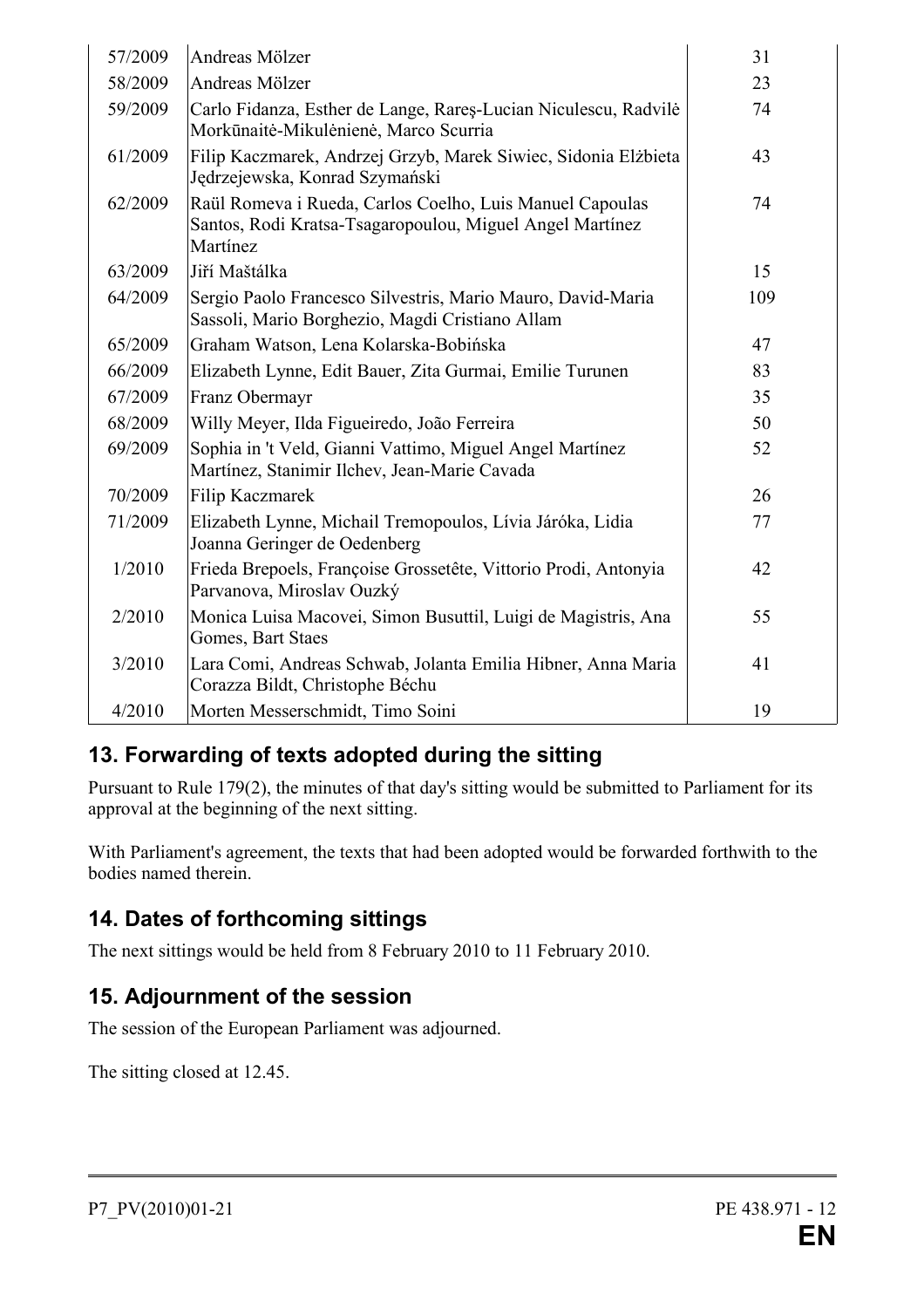| 57/2009 | Andreas Mölzer                                                                                                                   | 31  |
|---------|----------------------------------------------------------------------------------------------------------------------------------|-----|
| 58/2009 | Andreas Mölzer                                                                                                                   | 23  |
| 59/2009 | Carlo Fidanza, Esther de Lange, Rareș-Lucian Niculescu, Radvilė<br>Morkūnaitė-Mikulėnienė, Marco Scurria                         | 74  |
| 61/2009 | Filip Kaczmarek, Andrzej Grzyb, Marek Siwiec, Sidonia Elżbieta<br>Jędrzejewska, Konrad Szymański                                 | 43  |
| 62/2009 | Raül Romeva i Rueda, Carlos Coelho, Luis Manuel Capoulas<br>Santos, Rodi Kratsa-Tsagaropoulou, Miguel Angel Martínez<br>Martínez | 74  |
| 63/2009 | Jiří Maštálka                                                                                                                    | 15  |
| 64/2009 | Sergio Paolo Francesco Silvestris, Mario Mauro, David-Maria<br>Sassoli, Mario Borghezio, Magdi Cristiano Allam                   | 109 |
| 65/2009 | Graham Watson, Lena Kolarska-Bobińska                                                                                            | 47  |
| 66/2009 | Elizabeth Lynne, Edit Bauer, Zita Gurmai, Emilie Turunen                                                                         | 83  |
| 67/2009 | Franz Obermayr                                                                                                                   | 35  |
| 68/2009 | Willy Meyer, Ilda Figueiredo, João Ferreira                                                                                      | 50  |
| 69/2009 | Sophia in 't Veld, Gianni Vattimo, Miguel Angel Martínez<br>Martínez, Stanimir Ilchev, Jean-Marie Cavada                         | 52  |
| 70/2009 | Filip Kaczmarek                                                                                                                  | 26  |
| 71/2009 | Elizabeth Lynne, Michail Tremopoulos, Lívia Járóka, Lidia<br>Joanna Geringer de Oedenberg                                        | 77  |
| 1/2010  | Frieda Brepoels, Françoise Grossetête, Vittorio Prodi, Antonyia<br>Parvanova, Miroslav Ouzký                                     | 42  |
| 2/2010  | Monica Luisa Macovei, Simon Busuttil, Luigi de Magistris, Ana<br>Gomes, Bart Staes                                               | 55  |
| 3/2010  | Lara Comi, Andreas Schwab, Jolanta Emilia Hibner, Anna Maria<br>Corazza Bildt, Christophe Béchu                                  | 41  |
| 4/2010  | Morten Messerschmidt, Timo Soini                                                                                                 | 19  |

## **13. Forwarding of texts adopted during the sitting**

Pursuant to Rule 179(2), the minutes of that day's sitting would be submitted to Parliament for its approval at the beginning of the next sitting.

With Parliament's agreement, the texts that had been adopted would be forwarded forthwith to the bodies named therein.

## **14. Dates of forthcoming sittings**

The next sittings would be held from 8 February 2010 to 11 February 2010.

## **15. Adjournment of the session**

The session of the European Parliament was adjourned.

The sitting closed at 12.45.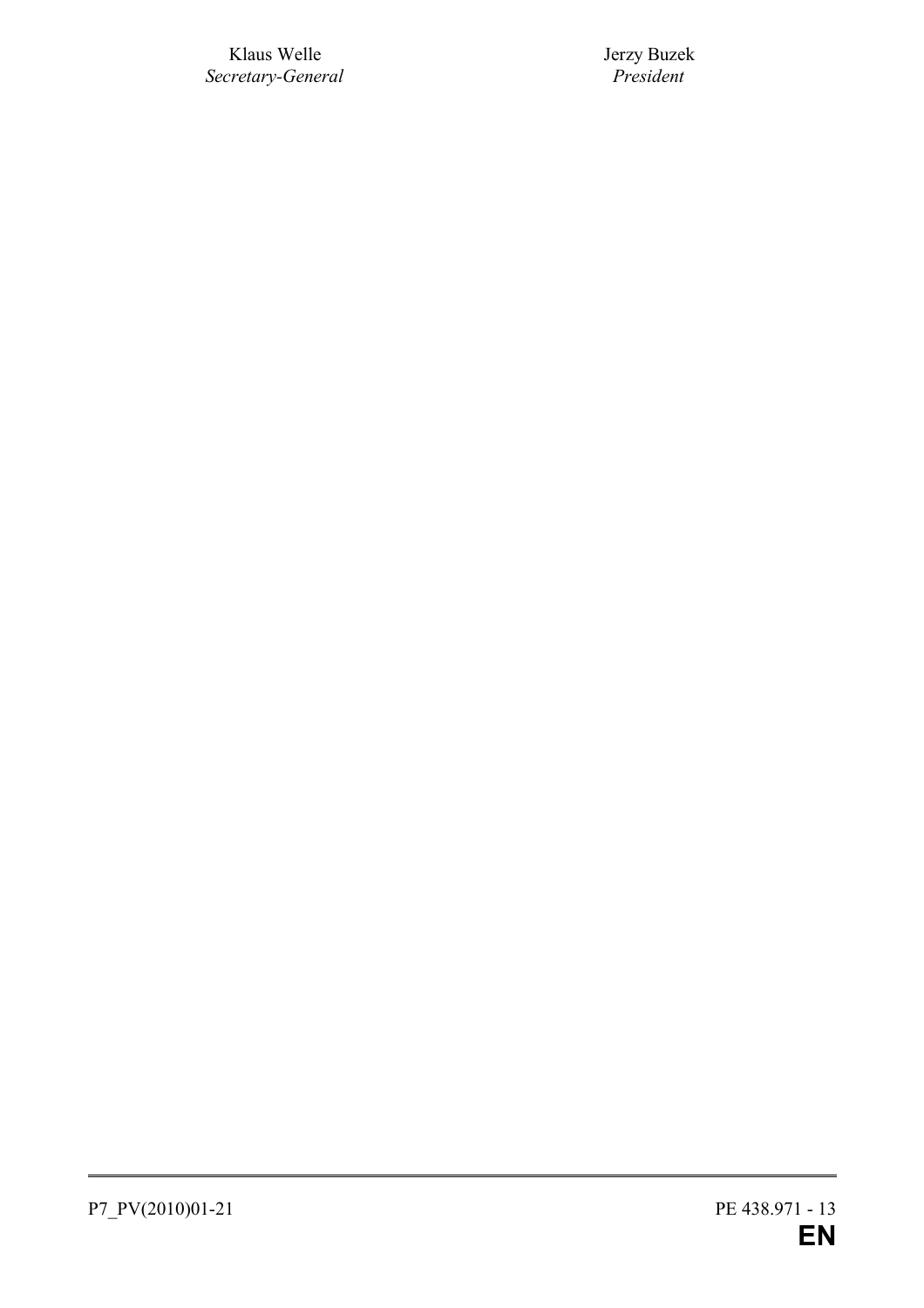Klaus Welle Jerzy Buzek  $S$ ecretary-General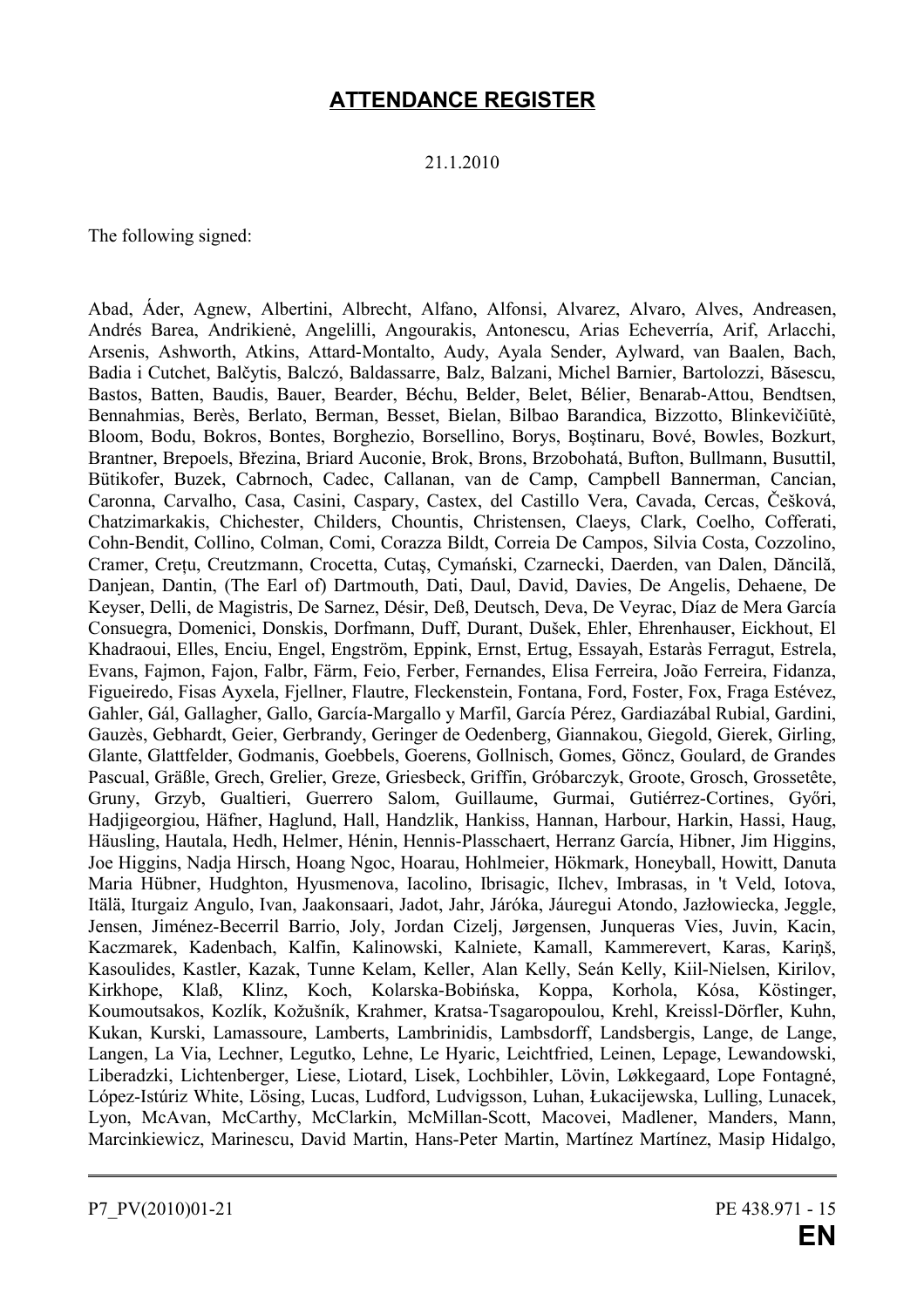## **ATTENDANCE REGISTER**

21.1.2010

The following signed:

Abad, Áder, Agnew, Albertini, Albrecht, Alfano, Alfonsi, Alvarez, Alvaro, Alves, Andreasen, Andrés Barea, Andrikienė, Angelilli, Angourakis, Antonescu, Arias Echeverría, Arif, Arlacchi, Arsenis, Ashworth, Atkins, Attard-Montalto, Audy, Ayala Sender, Aylward, van Baalen, Bach, Badia i Cutchet, Balčytis, Balczó, Baldassarre, Balz, Balzani, Michel Barnier, Bartolozzi, Băsescu, Bastos, Batten, Baudis, Bauer, Bearder, Béchu, Belder, Belet, Bélier, Benarab-Attou, Bendtsen, Bennahmias, Berès, Berlato, Berman, Besset, Bielan, Bilbao Barandica, Bizzotto, Blinkevičiūtė, Bloom, Bodu, Bokros, Bontes, Borghezio, Borsellino, Borys, Boştinaru, Bové, Bowles, Bozkurt, Brantner, Brepoels, Březina, Briard Auconie, Brok, Brons, Brzobohatá, Bufton, Bullmann, Busuttil, Bütikofer, Buzek, Cabrnoch, Cadec, Callanan, van de Camp, Campbell Bannerman, Cancian, Caronna, Carvalho, Casa, Casini, Caspary, Castex, del Castillo Vera, Cavada, Cercas, Češková, Chatzimarkakis, Chichester, Childers, Chountis, Christensen, Claeys, Clark, Coelho, Cofferati, Cohn-Bendit, Collino, Colman, Comi, Corazza Bildt, Correia De Campos, Silvia Costa, Cozzolino, Cramer, Creţu, Creutzmann, Crocetta, Cutaş, Cymański, Czarnecki, Daerden, van Dalen, Dăncilă, Danjean, Dantin, (The Earl of) Dartmouth, Dati, Daul, David, Davies, De Angelis, Dehaene, De Keyser, Delli, de Magistris, De Sarnez, Désir, Deß, Deutsch, Deva, De Veyrac, Díaz de Mera García Consuegra, Domenici, Donskis, Dorfmann, Duff, Durant, Dušek, Ehler, Ehrenhauser, Eickhout, El Khadraoui, Elles, Enciu, Engel, Engström, Eppink, Ernst, Ertug, Essayah, Estaràs Ferragut, Estrela, Evans, Fajmon, Fajon, Falbr, Färm, Feio, Ferber, Fernandes, Elisa Ferreira, João Ferreira, Fidanza, Figueiredo, Fisas Ayxela, Fjellner, Flautre, Fleckenstein, Fontana, Ford, Foster, Fox, Fraga Estévez, Gahler, Gál, Gallagher, Gallo, García-Margallo y Marfil, García Pérez, Gardiazábal Rubial, Gardini, Gauzès, Gebhardt, Geier, Gerbrandy, Geringer de Oedenberg, Giannakou, Giegold, Gierek, Girling, Glante, Glattfelder, Godmanis, Goebbels, Goerens, Gollnisch, Gomes, Göncz, Goulard, de Grandes Pascual, Gräßle, Grech, Grelier, Greze, Griesbeck, Griffin, Gróbarczyk, Groote, Grosch, Grossetête, Gruny, Grzyb, Gualtieri, Guerrero Salom, Guillaume, Gurmai, Gutiérrez-Cortines, Győri, Hadjigeorgiou, Häfner, Haglund, Hall, Handzlik, Hankiss, Hannan, Harbour, Harkin, Hassi, Haug, Häusling, Hautala, Hedh, Helmer, Hénin, Hennis-Plasschaert, Herranz García, Hibner, Jim Higgins, Joe Higgins, Nadja Hirsch, Hoang Ngoc, Hoarau, Hohlmeier, Hökmark, Honeyball, Howitt, Danuta Maria Hübner, Hudghton, Hyusmenova, Iacolino, Ibrisagic, Ilchev, Imbrasas, in 't Veld, Iotova, Itälä, Iturgaiz Angulo, Ivan, Jaakonsaari, Jadot, Jahr, Járóka, Jáuregui Atondo, Jazłowiecka, Jeggle, Jensen, Jiménez-Becerril Barrio, Joly, Jordan Cizelj, Jørgensen, Junqueras Vies, Juvin, Kacin, Kaczmarek, Kadenbach, Kalfin, Kalinowski, Kalniete, Kamall, Kammerevert, Karas, Kariņš, Kasoulides, Kastler, Kazak, Tunne Kelam, Keller, Alan Kelly, Seán Kelly, Kiil-Nielsen, Kirilov, Kirkhope, Klaß, Klinz, Koch, Kolarska-Bobińska, Koppa, Korhola, Kósa, Köstinger, Koumoutsakos, Kozlík, Kožušník, Krahmer, Kratsa-Tsagaropoulou, Krehl, Kreissl-Dörfler, Kuhn, Kukan, Kurski, Lamassoure, Lamberts, Lambrinidis, Lambsdorff, Landsbergis, Lange, de Lange, Langen, La Via, Lechner, Legutko, Lehne, Le Hyaric, Leichtfried, Leinen, Lepage, Lewandowski, Liberadzki, Lichtenberger, Liese, Liotard, Lisek, Lochbihler, Lövin, Løkkegaard, Lope Fontagné, López-Istúriz White, Lösing, Lucas, Ludford, Ludvigsson, Luhan, Łukacijewska, Lulling, Lunacek, Lyon, McAvan, McCarthy, McClarkin, McMillan-Scott, Macovei, Madlener, Manders, Mann, Marcinkiewicz, Marinescu, David Martin, Hans-Peter Martin, Martínez Martínez, Masip Hidalgo,